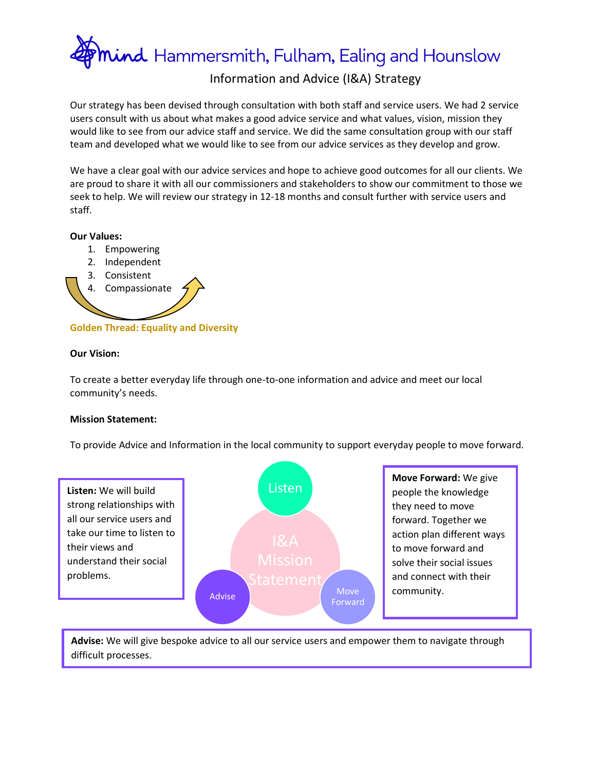mind Hammersmith, Fulham, Ealing and Hounslow

## Information and Advice (I&A) Strategy

Our strategy has been devised through consultation with both staff and service users. We had 2 service users consult with us about what makes a good advice service and what values, vision, mission they would like to see from our advice staff and service. We did the same consultation group with our staff team and developed what we would like to see from our advice services as they develop and grow.

We have a clear goal with our advice services and hope to achieve good outcomes for all our clients. We are proud to share it with all our commissioners and stakeholders to show our commitment to those we seek to help. We will review our strategy in 12-18 months and consult further with service users and staff.

#### **Our Values:**

- 1. Empowering
- 2. Independent
- 3. Consistent
- 4. Compassionate

**Golden Thread: Equality and Diversity**

#### **Our Vision:**

To create a better everyday life through one-to-one information and advice and meet our local community's needs.

#### **Mission Statement:**

To provide Advice and Information in the local community to support everyday people to move forward.



**Advise:** We will give bespoke advice to all our service users and empower them to navigate through difficult processes.